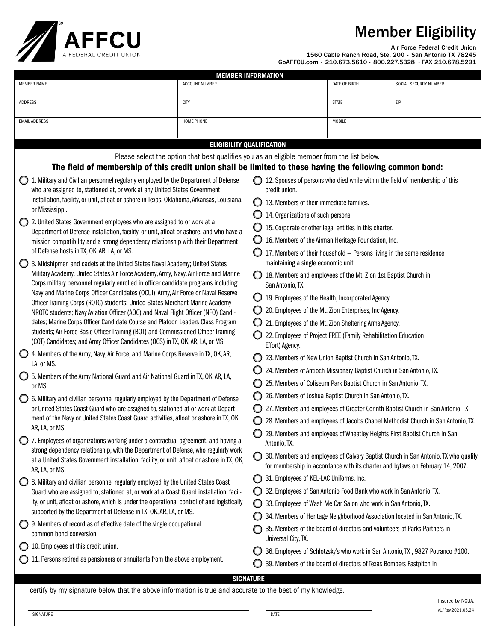## Member Eligibility



Air Force Federal Credit Union

v1/Rev.2021.03.24

1560 Cable Ranch Road, Ste. 200 • San Antonio TX 78245 GoAFFCU.com • 210.673.5610 • 800.227.5328 • FAX 210.678.5291

| <b>MEMBER INFORMATION</b>                                                                                                                                                                                                                                                                                                                                                                                                                                                                                                                                                                              |                                                                                                                                                                                                         |                                                                                      |                                                                                 |                                                                             |                                                                                                                                                                      |  |  |  |
|--------------------------------------------------------------------------------------------------------------------------------------------------------------------------------------------------------------------------------------------------------------------------------------------------------------------------------------------------------------------------------------------------------------------------------------------------------------------------------------------------------------------------------------------------------------------------------------------------------|---------------------------------------------------------------------------------------------------------------------------------------------------------------------------------------------------------|--------------------------------------------------------------------------------------|---------------------------------------------------------------------------------|-----------------------------------------------------------------------------|----------------------------------------------------------------------------------------------------------------------------------------------------------------------|--|--|--|
| <b>MEMBER NAME</b>                                                                                                                                                                                                                                                                                                                                                                                                                                                                                                                                                                                     | <b>ACCOUNT NUMBER</b>                                                                                                                                                                                   |                                                                                      | DATE OF BIRTH                                                                   | SOCIAL SECURITY NUMBER                                                      |                                                                                                                                                                      |  |  |  |
| <b>ADDRESS</b>                                                                                                                                                                                                                                                                                                                                                                                                                                                                                                                                                                                         | CITY                                                                                                                                                                                                    |                                                                                      | <b>STATE</b>                                                                    | ZIP                                                                         |                                                                                                                                                                      |  |  |  |
| <b>EMAIL ADDRESS</b>                                                                                                                                                                                                                                                                                                                                                                                                                                                                                                                                                                                   | HOME PHONE                                                                                                                                                                                              |                                                                                      |                                                                                 | MOBILE                                                                      |                                                                                                                                                                      |  |  |  |
|                                                                                                                                                                                                                                                                                                                                                                                                                                                                                                                                                                                                        |                                                                                                                                                                                                         |                                                                                      |                                                                                 |                                                                             |                                                                                                                                                                      |  |  |  |
| <b>ELIGIBILITY QUALIFICATION</b>                                                                                                                                                                                                                                                                                                                                                                                                                                                                                                                                                                       |                                                                                                                                                                                                         |                                                                                      |                                                                                 |                                                                             |                                                                                                                                                                      |  |  |  |
|                                                                                                                                                                                                                                                                                                                                                                                                                                                                                                                                                                                                        | Please select the option that best qualifies you as an eligible member from the list below.<br>The field of membership of this credit union shall be limited to those having the following common bond: |                                                                                      |                                                                                 |                                                                             |                                                                                                                                                                      |  |  |  |
| 1. Military and Civilian personnel regularly employed by the Department of Defense<br>$\bigcirc$ 12. Spouses of persons who died while within the field of membership of this                                                                                                                                                                                                                                                                                                                                                                                                                          |                                                                                                                                                                                                         |                                                                                      |                                                                                 |                                                                             |                                                                                                                                                                      |  |  |  |
| who are assigned to, stationed at, or work at any United States Government                                                                                                                                                                                                                                                                                                                                                                                                                                                                                                                             |                                                                                                                                                                                                         | credit union.                                                                        |                                                                                 |                                                                             |                                                                                                                                                                      |  |  |  |
| installation, facility, or unit, afloat or ashore in Texas, Oklahoma, Arkansas, Louisiana,                                                                                                                                                                                                                                                                                                                                                                                                                                                                                                             |                                                                                                                                                                                                         | $\bigcirc$ 13. Members of their immediate families.                                  |                                                                                 |                                                                             |                                                                                                                                                                      |  |  |  |
| or Mississippi.<br>2. United States Government employees who are assigned to or work at a                                                                                                                                                                                                                                                                                                                                                                                                                                                                                                              |                                                                                                                                                                                                         | 14. Organizations of such persons.                                                   |                                                                                 |                                                                             |                                                                                                                                                                      |  |  |  |
| Department of Defense installation, facility, or unit, afloat or ashore, and who have a<br>mission compatibility and a strong dependency relationship with their Department<br>of Defense hosts in TX, OK, AR, LA, or MS.                                                                                                                                                                                                                                                                                                                                                                              |                                                                                                                                                                                                         | 15. Corporate or other legal entities in this charter.                               |                                                                                 |                                                                             |                                                                                                                                                                      |  |  |  |
|                                                                                                                                                                                                                                                                                                                                                                                                                                                                                                                                                                                                        |                                                                                                                                                                                                         |                                                                                      |                                                                                 | 16. Members of the Airman Heritage Foundation, Inc.                         |                                                                                                                                                                      |  |  |  |
|                                                                                                                                                                                                                                                                                                                                                                                                                                                                                                                                                                                                        |                                                                                                                                                                                                         | 17. Members of their household - Persons living in the same residence                |                                                                                 |                                                                             |                                                                                                                                                                      |  |  |  |
| 3. Midshipmen and cadets at the United States Naval Academy; United States<br>Military Academy, United States Air Force Academy, Army, Navy, Air Force and Marine<br>Corps military personnel regularly enrolled in officer candidate programs including:<br>Navy and Marine Corps Officer Candidates (OCUI), Army, Air Force or Naval Reserve<br>Officer Training Corps (ROTC) students; United States Merchant Marine Academy<br>NROTC students; Navy Aviation Officer (AOC) and Naval Flight Officer (NFO) Candi-<br>dates; Marine Corps Officer Candidate Course and Platoon Leaders Class Program |                                                                                                                                                                                                         |                                                                                      | maintaining a single economic unit.                                             |                                                                             |                                                                                                                                                                      |  |  |  |
|                                                                                                                                                                                                                                                                                                                                                                                                                                                                                                                                                                                                        |                                                                                                                                                                                                         | 18. Members and employees of the Mt. Zion 1st Baptist Church in<br>San Antonio, TX.  |                                                                                 |                                                                             |                                                                                                                                                                      |  |  |  |
|                                                                                                                                                                                                                                                                                                                                                                                                                                                                                                                                                                                                        |                                                                                                                                                                                                         |                                                                                      |                                                                                 | 19. Employees of the Health, Incorporated Agency.                           |                                                                                                                                                                      |  |  |  |
|                                                                                                                                                                                                                                                                                                                                                                                                                                                                                                                                                                                                        |                                                                                                                                                                                                         | 20. Employees of the Mt. Zion Enterprises, Inc Agency.                               |                                                                                 |                                                                             |                                                                                                                                                                      |  |  |  |
|                                                                                                                                                                                                                                                                                                                                                                                                                                                                                                                                                                                                        |                                                                                                                                                                                                         | 21. Employees of the Mt. Zion Sheltering Arms Agency.                                |                                                                                 |                                                                             |                                                                                                                                                                      |  |  |  |
| students; Air Force Basic Officer Training (BOT) and Commissioned Officer Training<br>(COT) Candidates; and Army Officer Candidates (OCS) in TX, OK, AR, LA, or MS.                                                                                                                                                                                                                                                                                                                                                                                                                                    |                                                                                                                                                                                                         | 22. Employees of Project FREE (Family Rehabilitation Education<br>Effort) Agency.    |                                                                                 |                                                                             |                                                                                                                                                                      |  |  |  |
| 4. Members of the Army, Navy, Air Force, and Marine Corps Reserve in TX, OK, AR,<br>LA, or MS.<br>5. Members of the Army National Guard and Air National Guard in TX, OK, AR, LA,<br>or MS.                                                                                                                                                                                                                                                                                                                                                                                                            |                                                                                                                                                                                                         | 23. Members of New Union Baptist Church in San Antonio, TX.                          |                                                                                 |                                                                             |                                                                                                                                                                      |  |  |  |
|                                                                                                                                                                                                                                                                                                                                                                                                                                                                                                                                                                                                        |                                                                                                                                                                                                         | 24. Members of Antioch Missionary Baptist Church in San Antonio, TX.                 |                                                                                 |                                                                             |                                                                                                                                                                      |  |  |  |
|                                                                                                                                                                                                                                                                                                                                                                                                                                                                                                                                                                                                        |                                                                                                                                                                                                         | 25. Members of Coliseum Park Baptist Church in San Antonio, TX.                      |                                                                                 |                                                                             |                                                                                                                                                                      |  |  |  |
| 6. Military and civilian personnel regularly employed by the Department of Defense<br>or United States Coast Guard who are assigned to, stationed at or work at Depart-                                                                                                                                                                                                                                                                                                                                                                                                                                |                                                                                                                                                                                                         | 26. Members of Joshua Baptist Church in San Antonio, TX.                             |                                                                                 |                                                                             |                                                                                                                                                                      |  |  |  |
|                                                                                                                                                                                                                                                                                                                                                                                                                                                                                                                                                                                                        |                                                                                                                                                                                                         | 27. Members and employees of Greater Corinth Baptist Church in San Antonio, TX.<br>O |                                                                                 |                                                                             |                                                                                                                                                                      |  |  |  |
| ment of the Navy or United States Coast Guard activities, afloat or ashore in TX, OK,                                                                                                                                                                                                                                                                                                                                                                                                                                                                                                                  |                                                                                                                                                                                                         |                                                                                      | 28. Members and employees of Jacobs Chapel Methodist Church in San Antonio, TX. |                                                                             |                                                                                                                                                                      |  |  |  |
| AR, LA, or MS.<br>◯ 7. Employees of organizations working under a contractual agreement, and having a                                                                                                                                                                                                                                                                                                                                                                                                                                                                                                  |                                                                                                                                                                                                         |                                                                                      | Antonio, TX.                                                                    | ◯ 29. Members and employees of Wheatley Heights First Baptist Church in San |                                                                                                                                                                      |  |  |  |
| strong dependency relationship, with the Department of Defense, who regularly work<br>at a United States Government installation, facility, or unit, afloat or ashore in TX, OK,<br>AR, LA, or MS.                                                                                                                                                                                                                                                                                                                                                                                                     |                                                                                                                                                                                                         |                                                                                      |                                                                                 |                                                                             | 30. Members and employees of Calvary Baptist Church in San Antonio, TX who qualify<br>for membership in accordance with its charter and bylaws on February 14, 2007. |  |  |  |
| 8. Military and civilian personnel regularly employed by the United States Coast                                                                                                                                                                                                                                                                                                                                                                                                                                                                                                                       |                                                                                                                                                                                                         |                                                                                      | 31. Employees of KEL-LAC Uniforms, Inc.                                         |                                                                             |                                                                                                                                                                      |  |  |  |
| Guard who are assigned to, stationed at, or work at a Coast Guard installation, facil-<br>ity, or unit, afloat or ashore, which is under the operational control of and logistically                                                                                                                                                                                                                                                                                                                                                                                                                   |                                                                                                                                                                                                         |                                                                                      | 32. Employees of San Antonio Food Bank who work in San Antonio, TX.             |                                                                             |                                                                                                                                                                      |  |  |  |
|                                                                                                                                                                                                                                                                                                                                                                                                                                                                                                                                                                                                        |                                                                                                                                                                                                         | 33. Employees of Wash Me Car Salon who work in San Antonio, TX.                      |                                                                                 |                                                                             |                                                                                                                                                                      |  |  |  |
| supported by the Department of Defense in TX, OK, AR, LA, or MS.                                                                                                                                                                                                                                                                                                                                                                                                                                                                                                                                       |                                                                                                                                                                                                         |                                                                                      | 34. Members of Heritage Neighborhood Association located in San Antonio, TX.    |                                                                             |                                                                                                                                                                      |  |  |  |
| ◯ 9. Members of record as of effective date of the single occupational<br>common bond conversion.                                                                                                                                                                                                                                                                                                                                                                                                                                                                                                      |                                                                                                                                                                                                         |                                                                                      | Universal City, TX.                                                             | 35. Members of the board of directors and volunteers of Parks Partners in   |                                                                                                                                                                      |  |  |  |
| 10. Employees of this credit union.<br>O                                                                                                                                                                                                                                                                                                                                                                                                                                                                                                                                                               |                                                                                                                                                                                                         |                                                                                      |                                                                                 |                                                                             | 36. Employees of Schlotzsky's who work in San Antonio, TX, 9827 Potranco #100.                                                                                       |  |  |  |
| 11. Persons retired as pensioners or annuitants from the above employment.                                                                                                                                                                                                                                                                                                                                                                                                                                                                                                                             |                                                                                                                                                                                                         |                                                                                      |                                                                                 | 39. Members of the board of directors of Texas Bombers Fastpitch in         |                                                                                                                                                                      |  |  |  |
| <b>SIGNATURE</b>                                                                                                                                                                                                                                                                                                                                                                                                                                                                                                                                                                                       |                                                                                                                                                                                                         |                                                                                      |                                                                                 |                                                                             |                                                                                                                                                                      |  |  |  |
| I certify by my signature below that the above information is true and accurate to the best of my knowledge.                                                                                                                                                                                                                                                                                                                                                                                                                                                                                           |                                                                                                                                                                                                         |                                                                                      |                                                                                 |                                                                             |                                                                                                                                                                      |  |  |  |
| Insured by NCUA.                                                                                                                                                                                                                                                                                                                                                                                                                                                                                                                                                                                       |                                                                                                                                                                                                         |                                                                                      |                                                                                 |                                                                             |                                                                                                                                                                      |  |  |  |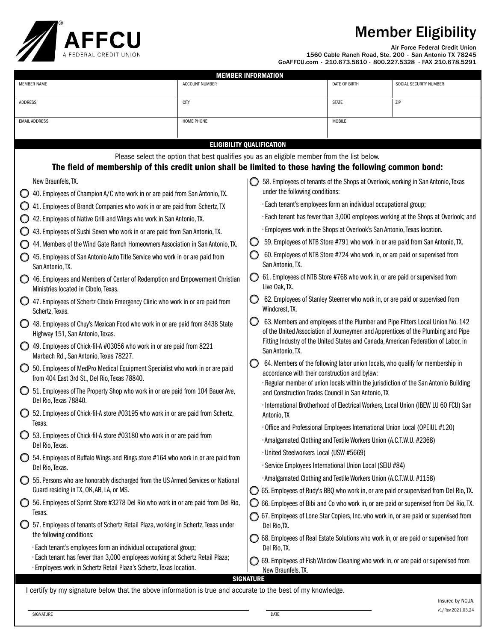## Member Eligibility



Air Force Federal Credit Union

1560 Cable Ranch Road, Ste. 200 • San Antonio TX 78245 GoAFFCU.com • 210.673.5610 • 800.227.5328 • FAX 210.678.5291

| <b>MEMBER INFORMATION</b>                                                                                                                                                                               |                                                                                |                                                                                                                                                                                                                                                              |                                                                                                      |               |                                                                                       |  |  |  |
|---------------------------------------------------------------------------------------------------------------------------------------------------------------------------------------------------------|--------------------------------------------------------------------------------|--------------------------------------------------------------------------------------------------------------------------------------------------------------------------------------------------------------------------------------------------------------|------------------------------------------------------------------------------------------------------|---------------|---------------------------------------------------------------------------------------|--|--|--|
| <b>MEMBER NAME</b>                                                                                                                                                                                      | ACCOUNT NUMBER                                                                 |                                                                                                                                                                                                                                                              |                                                                                                      | DATE OF BIRTH | SOCIAL SECURITY NUMBER                                                                |  |  |  |
| <b>ADDRESS</b>                                                                                                                                                                                          | CITY                                                                           |                                                                                                                                                                                                                                                              |                                                                                                      | <b>STATE</b>  | ZIP                                                                                   |  |  |  |
| <b>EMAIL ADDRESS</b>                                                                                                                                                                                    | HOME PHONE                                                                     |                                                                                                                                                                                                                                                              |                                                                                                      | MOBILE        |                                                                                       |  |  |  |
|                                                                                                                                                                                                         |                                                                                |                                                                                                                                                                                                                                                              |                                                                                                      |               |                                                                                       |  |  |  |
| <b>ELIGIBILITY QUALIFICATION</b>                                                                                                                                                                        |                                                                                |                                                                                                                                                                                                                                                              |                                                                                                      |               |                                                                                       |  |  |  |
| Please select the option that best qualifies you as an eligible member from the list below.<br>The field of membership of this credit union shall be limited to those having the following common bond: |                                                                                |                                                                                                                                                                                                                                                              |                                                                                                      |               |                                                                                       |  |  |  |
| New Braunfels, TX.<br>58. Employees of tenants of the Shops at Overlook, working in San Antonio, Texas                                                                                                  |                                                                                |                                                                                                                                                                                                                                                              |                                                                                                      |               |                                                                                       |  |  |  |
| 40. Employees of Champion A/C who work in or are paid from San Antonio, TX.<br>O                                                                                                                        |                                                                                |                                                                                                                                                                                                                                                              | under the following conditions:                                                                      |               |                                                                                       |  |  |  |
| 41. Employees of Brandt Companies who work in or are paid from Schertz, TX                                                                                                                              |                                                                                |                                                                                                                                                                                                                                                              | · Each tenant's employees form an individual occupational group;                                     |               |                                                                                       |  |  |  |
| 42. Employees of Native Grill and Wings who work in San Antonio, TX.                                                                                                                                    |                                                                                |                                                                                                                                                                                                                                                              | · Each tenant has fewer than 3,000 employees working at the Shops at Overlook; and                   |               |                                                                                       |  |  |  |
| 43. Employees of Sushi Seven who work in or are paid from San Antonio, TX.                                                                                                                              |                                                                                |                                                                                                                                                                                                                                                              | · Employees work in the Shops at Overlook's San Antonio, Texas location.                             |               |                                                                                       |  |  |  |
| 44. Members of the Wind Gate Ranch Homeowners Association in San Antonio, TX.                                                                                                                           |                                                                                |                                                                                                                                                                                                                                                              | 59. Employees of NTB Store #791 who work in or are paid from San Antonio, TX.<br>O                   |               |                                                                                       |  |  |  |
| 45. Employees of San Antonio Auto Title Service who work in or are paid from<br>San Antonio, TX.                                                                                                        |                                                                                |                                                                                                                                                                                                                                                              | 60. Employees of NTB Store #724 who work in, or are paid or supervised from<br>Ő<br>San Antonio, TX. |               |                                                                                       |  |  |  |
| 46. Employees and Members of Center of Redemption and Empowerment Christian<br>Ministries located in Cibolo, Texas.                                                                                     |                                                                                | 61. Employees of NTB Store #768 who work in, or are paid or supervised from<br>Live Oak, TX.                                                                                                                                                                 |                                                                                                      |               |                                                                                       |  |  |  |
| 47. Employees of Schertz Cibolo Emergency Clinic who work in or are paid from<br>Schertz, Texas.                                                                                                        |                                                                                | 62. Employees of Stanley Steemer who work in, or are paid or supervised from<br>O<br>Windcrest, TX.                                                                                                                                                          |                                                                                                      |               |                                                                                       |  |  |  |
| 48. Employees of Chuy's Mexican Food who work in or are paid from 8438 State<br>Highway 151, San Antonio, Texas.                                                                                        |                                                                                | 63. Members and employees of the Plumber and Pipe Fitters Local Union No. 142<br>O<br>of the United Association of Journeymen and Apprentices of the Plumbing and Pipe<br>Fitting Industry of the United States and Canada, American Federation of Labor, in |                                                                                                      |               |                                                                                       |  |  |  |
| 49. Employees of Chick-fil-A #03056 who work in or are paid from 8221<br>Marbach Rd., San Antonio, Texas 78227.                                                                                         |                                                                                |                                                                                                                                                                                                                                                              | San Antonio, TX.                                                                                     |               |                                                                                       |  |  |  |
| 50. Employees of MedPro Medical Equipment Specialist who work in or are paid<br>from 404 East 3rd St., Del Rio, Texas 78840.                                                                            |                                                                                | 64. Members of the following labor union locals, who qualify for membership in<br>O<br>accordance with their construction and bylaw:<br>· Regular member of union locals within the jurisdiction of the San Antonio Building                                 |                                                                                                      |               |                                                                                       |  |  |  |
| Del Rio, Texas 78840.                                                                                                                                                                                   | 51. Employees of The Property Shop who work in or are paid from 104 Bauer Ave, |                                                                                                                                                                                                                                                              | and Construction Trades Council in San Antonio, TX                                                   |               |                                                                                       |  |  |  |
| ◯ 52. Employees of Chick-fil-A store #03195 who work in or are paid from Schertz,<br>Texas.                                                                                                             |                                                                                | · International Brotherhood of Electrical Workers, Local Union (IBEW LU 60 FCU) San<br>Antonio, TX                                                                                                                                                           |                                                                                                      |               |                                                                                       |  |  |  |
| ◯ 53. Employees of Chick-fil-A store #03180 who work in or are paid from<br>Del Rio, Texas.                                                                                                             |                                                                                | · Office and Professional Employees International Union Local (OPEIUL #120)<br>· Amalgamated Clothing and Textile Workers Union (A.C.T.W.U. #2368)                                                                                                           |                                                                                                      |               |                                                                                       |  |  |  |
|                                                                                                                                                                                                         |                                                                                |                                                                                                                                                                                                                                                              |                                                                                                      |               |                                                                                       |  |  |  |
| 54. Employees of Buffalo Wings and Rings store #164 who work in or are paid from                                                                                                                        |                                                                                |                                                                                                                                                                                                                                                              | · United Steelworkers Local (USW #5669)                                                              |               |                                                                                       |  |  |  |
| Del Rio, Texas.                                                                                                                                                                                         |                                                                                | · Service Employees International Union Local (SEIU #84)                                                                                                                                                                                                     |                                                                                                      |               |                                                                                       |  |  |  |
| 55. Persons who are honorably discharged from the US Armed Services or National<br>O                                                                                                                    |                                                                                |                                                                                                                                                                                                                                                              | · Amalgamated Clothing and Textile Workers Union (A.C.T.W.U. #1158)                                  |               |                                                                                       |  |  |  |
| Guard residing in TX, OK, AR, LA, or MS.                                                                                                                                                                |                                                                                |                                                                                                                                                                                                                                                              |                                                                                                      |               | 65. Employees of Rudy's BBQ who work in, or are paid or supervised from Del Rio, TX.  |  |  |  |
| 56. Employees of Sprint Store #3278 Del Rio who work in or are paid from Del Rio,<br>O<br>Texas.                                                                                                        |                                                                                |                                                                                                                                                                                                                                                              |                                                                                                      |               | 66. Employees of Bibi and Co who work in, or are paid or supervised from Del Rio, TX. |  |  |  |
| 57. Employees of tenants of Schertz Retail Plaza, working in Schertz, Texas under<br>the following conditions:                                                                                          |                                                                                |                                                                                                                                                                                                                                                              | Del Rio, TX.                                                                                         |               | 67. Employees of Lone Star Copiers, Inc. who work in, or are paid or supervised from  |  |  |  |
| · Each tenant's employees form an individual occupational group;                                                                                                                                        |                                                                                |                                                                                                                                                                                                                                                              | Del Rio, TX.                                                                                         |               | 68. Employees of Real Estate Solutions who work in, or are paid or supervised from    |  |  |  |
| · Each tenant has fewer than 3,000 employees working at Schertz Retail Plaza;                                                                                                                           |                                                                                |                                                                                                                                                                                                                                                              |                                                                                                      |               | 69. Employees of Fish Window Cleaning who work in, or are paid or supervised from     |  |  |  |
| · Employees work in Schertz Retail Plaza's Schertz, Texas location.                                                                                                                                     |                                                                                |                                                                                                                                                                                                                                                              | New Braunfels, TX.                                                                                   |               |                                                                                       |  |  |  |
| <b>SIGNATURE</b>                                                                                                                                                                                        |                                                                                |                                                                                                                                                                                                                                                              |                                                                                                      |               |                                                                                       |  |  |  |
| I certify by my signature below that the above information is true and accurate to the best of my knowledge.                                                                                            |                                                                                |                                                                                                                                                                                                                                                              |                                                                                                      |               |                                                                                       |  |  |  |